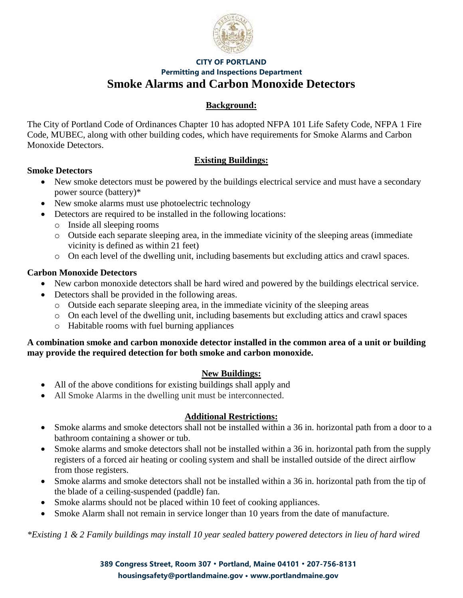

## **CITY OF PORTLAND Permitting and Inspections Department Smoke Alarms and Carbon Monoxide Detectors**

# **Background:**

The City of Portland Code of Ordinances Chapter 10 has adopted NFPA 101 Life Safety Code, NFPA 1 Fire Code, MUBEC, along with other building codes, which have requirements for Smoke Alarms and Carbon Monoxide Detectors.

## **Existing Buildings:**

## **Smoke Detectors**

- New smoke detectors must be powered by the buildings electrical service and must have a secondary power source (battery)\*
- New smoke alarms must use photoelectric technology
- Detectors are required to be installed in the following locations:
	- o Inside all sleeping rooms
	- o Outside each separate sleeping area, in the immediate vicinity of the sleeping areas (immediate vicinity is defined as within 21 feet)
	- o On each level of the dwelling unit, including basements but excluding attics and crawl spaces.

## **Carbon Monoxide Detectors**

- New carbon monoxide detectors shall be hard wired and powered by the buildings electrical service.
- Detectors shall be provided in the following areas.
	- o Outside each separate sleeping area, in the immediate vicinity of the sleeping areas
	- o On each level of the dwelling unit, including basements but excluding attics and crawl spaces
	- o Habitable rooms with fuel burning appliances

### **A combination smoke and carbon monoxide detector installed in the common area of a unit or building may provide the required detection for both smoke and carbon monoxide.**

# **New Buildings:**

- All of the above conditions for existing buildings shall apply and
- All Smoke Alarms in the dwelling unit must be interconnected.

# **Additional Restrictions:**

- Smoke alarms and smoke detectors shall not be installed within a 36 in. horizontal path from a door to a bathroom containing a shower or tub.
- Smoke alarms and smoke detectors shall not be installed within a 36 in. horizontal path from the supply registers of a forced air heating or cooling system and shall be installed outside of the direct airflow from those registers.
- Smoke alarms and smoke detectors shall not be installed within a 36 in. horizontal path from the tip of the blade of a ceiling-suspended (paddle) fan.
- Smoke alarms should not be placed within 10 feet of cooking appliances.
- Smoke Alarm shall not remain in service longer than 10 years from the date of manufacture.

*\*Existing 1 & 2 Family buildings may install 10 year sealed battery powered detectors in lieu of hard wired*

**389 Congress Street, Room 307 • Portland, Maine 04101 • 207-756-8131 housingsafety@portlandmaine.gov • [www.portlandmaine.gov](http://www.portlandmaine.gov/)**